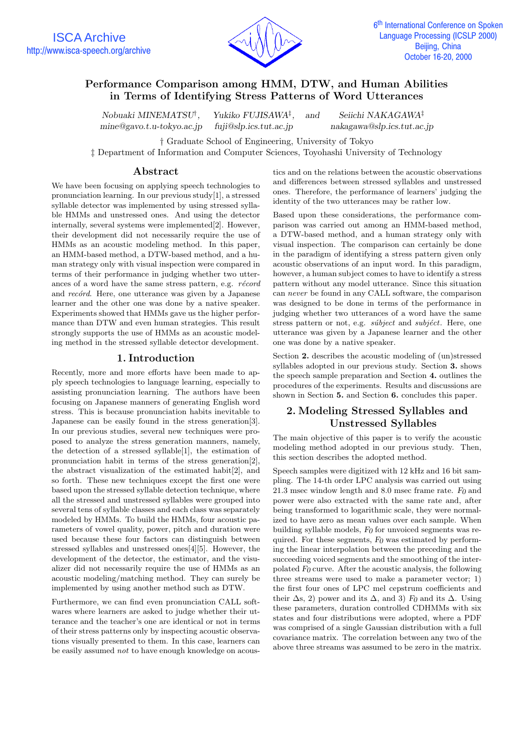

# **Performance Comparison among HMM, DTW, and Human Abilities in Terms of Identifying Stress Patterns of Word Utterances**

*Nobuaki MINEMATSU*†*, Yukiko FUJISAWA*‡*, and Seiichi NAKAGAWA*‡ *mine@gavo.t.u-tokyo.ac.jp fuji@slp.ics.tut.ac.jp nakagawa@slp.ics.tut.ac.jp*

† Graduate School of Engineering, University of Tokyo

‡ Department of Information and Computer Sciences, Toyohashi University of Technology

## **Abstract**

We have been focusing on applying speech technologies to pronunciation learning. In our previous study[1], a stressed syllable detector was implemented by using stressed syllable HMMs and unstressed ones. And using the detector internally, several systems were implemented[2]. However, their development did not necessarily require the use of HMMs as an acoustic modeling method. In this paper, an HMM-based method, a DTW-based method, and a human strategy only with visual inspection were compared in terms of their performance in judging whether two utterances of a word have the same stress pattern, e.g.  $r\acute{e}cord$ and *record*. Here, one utterance was given by a Japanese learner and the other one was done by a native speaker. Experiments showed that HMMs gave us the higher performance than DTW and even human strategies. This result strongly supports the use of HMMs as an acoustic modeling method in the stressed syllable detector development.

## **1.Introduction**

Recently, more and more efforts have been made to apply speech technologies to language learning, especially to assisting pronunciation learning. The authors have been focusing on Japanese manners of generating English word stress. This is because pronunciation habits inevitable to Japanese can be easily found in the stress generation[3]. In our previous studies, several new techniques were proposed to analyze the stress generation manners, namely, the detection of a stressed syllable[1], the estimation of pronunciation habit in terms of the stress generation[2], the abstract visualization of the estimated habit[2], and so forth. These new techniques except the first one were based upon the stressed syllable detection technique, where all the stressed and unstressed syllables were grouped into several tens of syllable classes and each class was separately modeled by HMMs. To build the HMMs, four acoustic parameters of vowel quality, power, pitch and duration were used because these four factors can distinguish between stressed syllables and unstressed ones[4][5]. However, the development of the detector, the estimator, and the visualizer did not necessarily require the use of HMMs as an acoustic modeling/matching method. They can surely be implemented by using another method such as DTW.

Furthermore, we can find even pronunciation CALL softwares where learners are asked to judge whether their utterance and the teacher's one are identical or not in terms of their stress patterns only by inspecting acoustic observations visually presented to them. In this case, learners can be easily assumed not to have enough knowledge on acoustics and on the relations between the acoustic observations and differences between stressed syllables and unstressed ones. Therefore, the performance of learners' judging the identity of the two utterances may be rather low.

Based upon these considerations, the performance comparison was carried out among an HMM-based method, a DTW-based method, and a human strategy only with visual inspection. The comparison can certainly be done in the paradigm of identifying a stress pattern given only acoustic observations of an input word. In this paradigm, however, a human subject comes to have to identify a stress pattern without any model utterance. Since this situation can never be found in any CALL software, the comparison was designed to be done in terms of the performance in judging whether two utterances of a word have the same stress pattern or not, e.g. *súbject* and *subjéct*. Here, one utterance was given by a Japanese learner and the other one was done by a native speaker.

Section 2. describes the acoustic modeling of (un)stressed syllables adopted in our previous study. Section **3.** shows the speech sample preparation and Section **4.** outlines the procedures of the experiments. Results and discussions are shown in Section **5.** and Section **6.** concludes this paper.

# **2.Modeling Stressed Syllables and Unstressed Syllables**

The main objective of this paper is to verify the acoustic modeling method adopted in our previous study. Then, this section describes the adopted method.

Speech samples were digitized with 12 kHz and 16 bit sampling. The 14-th order LPC analysis was carried out using 21.3 msec window length and 8.0 msec frame rate. *F0* and power were also extracted with the same rate and, after being transformed to logarithmic scale, they were normalized to have zero as mean values over each sample. When building syllable models, *F0* for unvoiced segments was required. For these segments, *F0* was estimated by performing the linear interpolation between the preceding and the succeeding voiced segments and the smoothing of the interpolated *F0* curve. After the acoustic analysis, the following three streams were used to make a parameter vector; 1) the first four ones of LPC mel cepstrum coefficients and their  $\Delta$ s, 2) power and its  $\Delta$ , and 3) *F*<sup>0</sup> and its  $\Delta$ . Using these parameters, duration controlled CDHMMs with six states and four distributions were adopted, where a PDF was comprised of a single Gaussian distribution with a full covariance matrix. The correlation between any two of the above three streams was assumed to be zero in the matrix.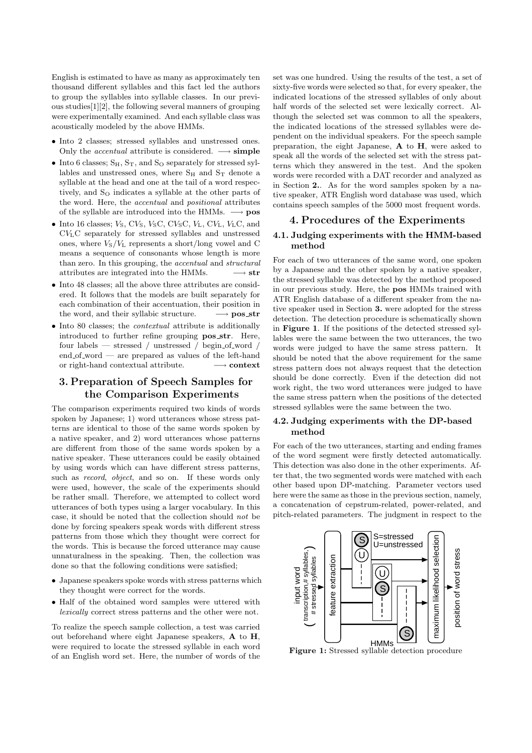English is estimated to have as many as approximately ten thousand different syllables and this fact led the authors to group the syllables into syllable classes. In our previous studies[1][2], the following several manners of grouping were experimentally examined. And each syllable class was acoustically modeled by the above HMMs.

- Into 2 classes; stressed syllables and unstressed ones. Only the *accentual* attribute is considered.  $\longrightarrow$  **simple**
- Into 6 classes:  $S_H$ ,  $S_T$ , and  $S_O$  separately for stressed syllables and unstressed ones, where  $S_H$  and  $S_T$  denote a syllable at the head and one at the tail of a word respectively, and  $S<sub>O</sub>$  indicates a syllable at the other parts of the word. Here, the accentual and positional attributes of the syllable are introduced into the HMMs. −→ **pos**
- Into 16 classes;  $V_S$ ,  $CV_S$ ,  $V_SC$ ,  $CV_SC$ ,  $V_L$ ,  $CV_L$ ,  $V_LC$ , and CVLC separately for stressed syllables and unstressed ones, where  $V_S/V_L$  represents a short/long vowel and C means a sequence of consonants whose length is more than zero. In this grouping, the accentual and structural attributes are integrated into the HMMs.  $\longrightarrow$  **str**
- Into 48 classes; all the above three attributes are considered. It follows that the models are built separately for each combination of their accentuation, their position in the word, and their syllabic structure. → **pos\_str**
- Into 80 classes; the *contextual* attribute is additionally introduced to further refine grouping **pos str**. Here, four labels — stressed / unstressed / begin\_of\_word  $/$ end of word — are prepared as values of the left-hand or right-hand contextual attribute. −→ **context**

## **3.Preparation of Speech Samples for the Comparison Experiments**

The comparison experiments required two kinds of words spoken by Japanese; 1) word utterances whose stress patterns are identical to those of the same words spoken by a native speaker, and 2) word utterances whose patterns are different from those of the same words spoken by a native speaker. These utterances could be easily obtained by using words which can have different stress patterns, such as *record*, *object*, and so on. If these words only were used, however, the scale of the experiments should be rather small. Therefore, we attempted to collect word utterances of both types using a larger vocabulary. In this case, it should be noted that the collection should not be done by forcing speakers speak words with different stress patterns from those which they thought were correct for the words. This is because the forced utterance may cause unnaturalness in the speaking. Then, the collection was done so that the following conditions were satisfied;

- Japanese speakers spoke words with stress patterns which they thought were correct for the words.
- Half of the obtained word samples were uttered with lexically correct stress patterns and the other were not.

To realize the speech sample collection, a test was carried out beforehand where eight Japanese speakers, **A** to **H**, were required to locate the stressed syllable in each word of an English word set. Here, the number of words of the set was one hundred. Using the results of the test, a set of sixty-five words were selected so that, for every speaker, the indicated locations of the stressed syllables of only about half words of the selected set were lexically correct. Although the selected set was common to all the speakers, the indicated locations of the stressed syllables were dependent on the individual speakers. For the speech sample preparation, the eight Japanese, **A** to **H**, were asked to speak all the words of the selected set with the stress patterns which they answered in the test. And the spoken words were recorded with a DAT recorder and analyzed as in Section **2.**. As for the word samples spoken by a native speaker, ATR English word database was used, which contains speech samples of the 5000 most frequent words.

## **4.Procedures of the Experiments**

## **4.1. Judging experiments with the HMM-based method**

For each of two utterances of the same word, one spoken by a Japanese and the other spoken by a native speaker, the stressed syllable was detected by the method proposed in our previous study. Here, the **pos** HMMs trained with ATR English database of a different speaker from the native speaker used in Section **3.** were adopted for the stress detection. The detection procedure is schematically shown in **Figure 1**. If the positions of the detected stressed syllables were the same between the two utterances, the two words were judged to have the same stress pattern. It should be noted that the above requirement for the same stress pattern does not always request that the detection should be done correctly. Even if the detection did not work right, the two word utterances were judged to have the same stress pattern when the positions of the detected stressed syllables were the same between the two.

#### **4.2. Judging experiments with the DP-based method**

For each of the two utterances, starting and ending frames of the word segment were firstly detected automatically. This detection was also done in the other experiments. After that, the two segmented words were matched with each other based upon DP-matching. Parameter vectors used here were the same as those in the previous section, namely, a concatenation of cepstrum-related, power-related, and pitch-related parameters. The judgment in respect to the



**Figure 1:** Stressed syllable detection procedure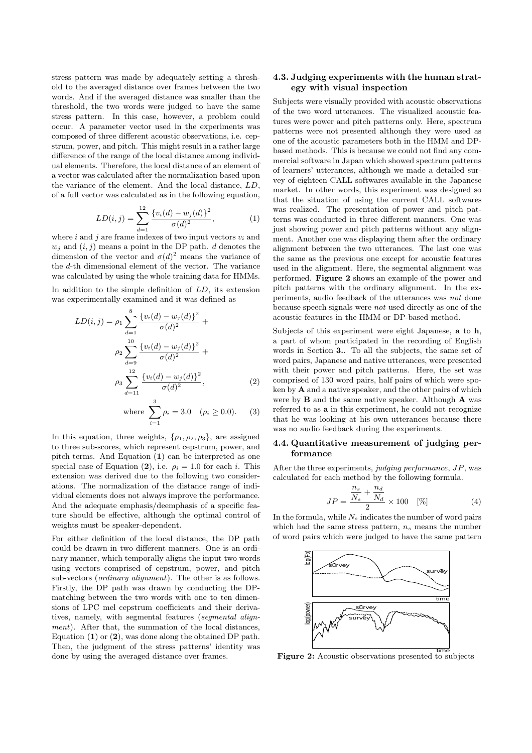stress pattern was made by adequately setting a threshold to the averaged distance over frames between the two words. And if the averaged distance was smaller than the threshold, the two words were judged to have the same stress pattern. In this case, however, a problem could occur. A parameter vector used in the experiments was composed of three different acoustic observations, i.e. cepstrum, power, and pitch. This might result in a rather large difference of the range of the local distance among individual elements. Therefore, the local distance of an element of a vector was calculated after the normalization based upon the variance of the element. And the local distance, LD, of a full vector was calculated as in the following equation,

$$
LD(i,j) = \sum_{d=1}^{12} \frac{\{v_i(d) - w_j(d)\}^2}{\sigma(d)^2},
$$
\n(1)

where i and j are frame indexes of two input vectors  $v_i$  and  $w_i$  and  $(i, j)$  means a point in the DP path. d denotes the dimension of the vector and  $\sigma(d)^2$  means the variance of the d-th dimensional element of the vector. The variance was calculated by using the whole training data for HMMs.

In addition to the simple definition of LD, its extension was experimentally examined and it was defined as

$$
LD(i,j) = \rho_1 \sum_{d=1}^{8} \frac{\{v_i(d) - w_j(d)\}^2}{\sigma(d)^2} + \rho_2 \sum_{d=9}^{10} \frac{\{v_i(d) - w_j(d)\}^2}{\sigma(d)^2} + \rho_3 \sum_{d=11}^{12} \frac{\{v_i(d) - w_j(d)\}^2}{\sigma(d)^2},
$$
\n(2)

where 
$$
\sum_{i=1}^{3} \rho_i = 3.0
$$
  $(\rho_i \ge 0.0).$  (3)

In this equation, three weights,  $\{\rho_1, \rho_2, \rho_3\}$ , are assigned to three sub-scores, which represent cepstrum, power, and pitch terms. And Equation (**1**) can be interpreted as one special case of Equation (2), i.e.  $\rho_i = 1.0$  for each i. This extension was derived due to the following two considerations. The normalization of the distance range of individual elements does not always improve the performance. And the adequate emphasis/deemphasis of a specific feature should be effective, although the optimal control of weights must be speaker-dependent.

For either definition of the local distance, the DP path could be drawn in two different manners. One is an ordinary manner, which temporally aligns the input two words using vectors comprised of cepstrum, power, and pitch sub-vectors (*ordinary alignment*). The other is as follows. Firstly, the DP path was drawn by conducting the DPmatching between the two words with one to ten dimensions of LPC mel cepstrum coefficients and their derivatives, namely, with segmental features (segmental alignment). After that, the summation of the local distances, Equation (**1**) or (**2**), was done along the obtained DP path. Then, the judgment of the stress patterns' identity was done by using the averaged distance over frames.

## **4.3. Judging experiments with the human strategy with visual inspection**

Subjects were visually provided with acoustic observations of the two word utterances. The visualized acoustic features were power and pitch patterns only. Here, spectrum patterns were not presented although they were used as one of the acoustic parameters both in the HMM and DPbased methods. This is because we could not find any commercial software in Japan which showed spectrum patterns of learners' utterances, although we made a detailed survey of eighteen CALL softwares available in the Japanese market. In other words, this experiment was designed so that the situation of using the current CALL softwares was realized. The presentation of power and pitch patterns was conducted in three different manners. One was just showing power and pitch patterns without any alignment. Another one was displaying them after the ordinary alignment between the two utterances. The last one was the same as the previous one except for acoustic features used in the alignment. Here, the segmental alignment was performed. **Figure 2** shows an example of the power and pitch patterns with the ordinary alignment. In the experiments, audio feedback of the utterances was not done because speech signals were not used directly as one of the acoustic features in the HMM or DP-based method.

Subjects of this experiment were eight Japanese, **a** to **h**, a part of whom participated in the recording of English words in Section **3.**. To all the subjects, the same set of word pairs, Japanese and native utterances, were presented with their power and pitch patterns. Here, the set was comprised of 130 word pairs, half pairs of which were spoken by **A** and a native speaker, and the other pairs of which were by **B** and the same native speaker. Although **A** was referred to as **a** in this experiment, he could not recognize that he was looking at his own utterances because there was no audio feedback during the experiments.

#### **4.4. Quantitative measurement of judging performance**

After the three experiments, judging performance, JP, was calculated for each method by the following formula.

$$
JP = \frac{\frac{n_s}{N_s} + \frac{n_d}{N_d}}{2} \times 100 \quad [\%]
$$
 (4)

In the formula, while  $N_s$  indicates the number of word pairs which had the same stress pattern,  $n_s$  means the number of word pairs which were judged to have the same pattern



**Figure 2:** Acoustic observations presented to subjects